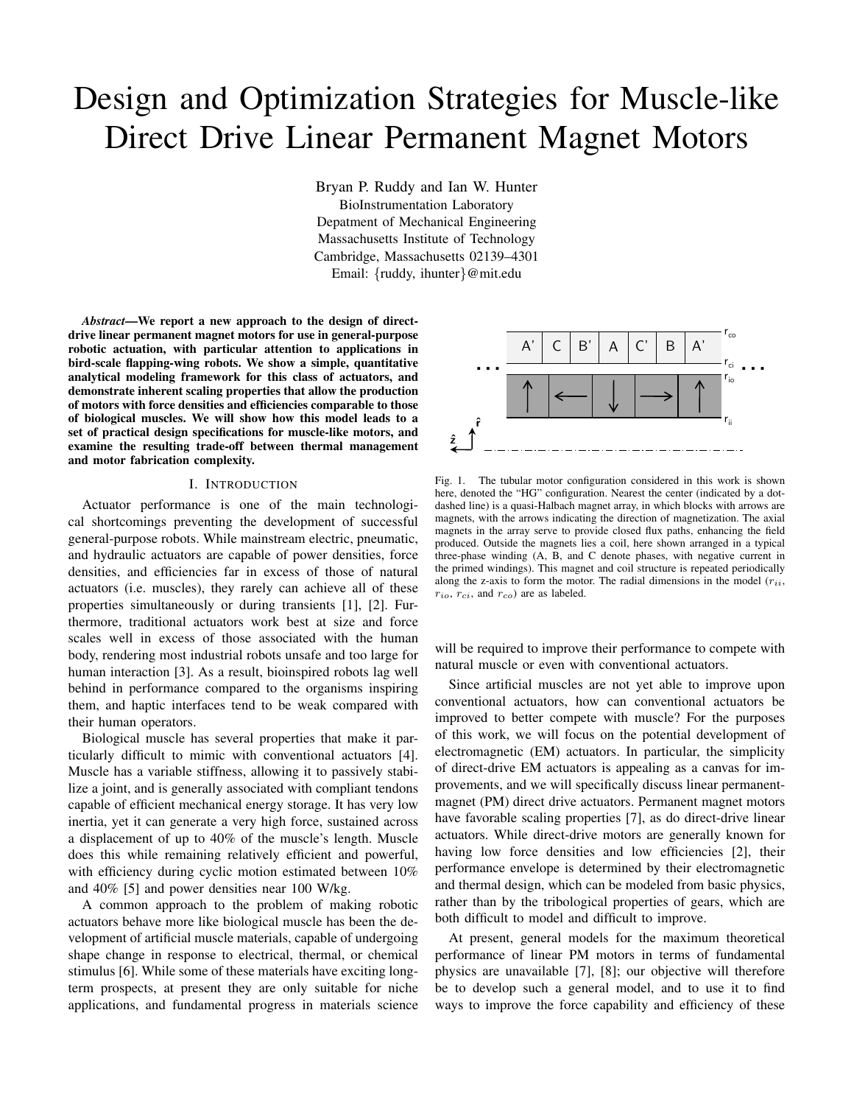# Design and Optimization Strategies for Muscle-like Direct Drive Linear Permanent Magnet Motors

Bryan P. Ruddy and Ian W. Hunter

BioInstrumentation Laboratory Depatment of Mechanical Engineering Massachusetts Institute of Technology Cambridge, Massachusetts 02139–4301 Email: {ruddy, ihunter}@mit.edu

*Abstract*—We report a new approach to the design of directdrive linear permanent magnet motors for use in general-purpose robotic actuation, with particular attention to applications in bird-scale flapping-wing robots. We show a simple, quantitative analytical modeling framework for this class of actuators, and demonstrate inherent scaling properties that allow the production of motors with force densities and efficiencies comparable to those of biological muscles. We will show how this model leads to a set of practical design specifications for muscle-like motors, and examine the resulting trade-off between thermal management and motor fabrication complexity.

## I. INTRODUCTION

Actuator performance is one of the main technological shortcomings preventing the development of successful general-purpose robots. While mainstream electric, pneumatic, and hydraulic actuators are capable of power densities, force densities, and efficiencies far in excess of those of natural actuators (i.e. muscles), they rarely can achieve all of these properties simultaneously or during transients [\[1\]](#page-7-0), [\[2\]](#page-7-1). Furthermore, traditional actuators work best at size and force scales well in excess of those associated with the human body, rendering most industrial robots unsafe and too large for human interaction [\[3\]](#page-7-2). As a result, bioinspired robots lag well behind in performance compared to the organisms inspiring them, and haptic interfaces tend to be weak compared with their human operators.

Biological muscle has several properties that make it particularly difficult to mimic with conventional actuators [\[4\]](#page-7-3). Muscle has a variable stiffness, allowing it to passively stabilize a joint, and is generally associated with compliant tendons capable of efficient mechanical energy storage. It has very low inertia, yet it can generate a very high force, sustained across a displacement of up to 40% of the muscle's length. Muscle does this while remaining relatively efficient and powerful, with efficiency during cyclic motion estimated between 10% and 40% [\[5\]](#page-7-4) and power densities near 100 W/kg.

A common approach to the problem of making robotic actuators behave more like biological muscle has been the development of artificial muscle materials, capable of undergoing shape change in response to electrical, thermal, or chemical stimulus [\[6\]](#page-7-5). While some of these materials have exciting longterm prospects, at present they are only suitable for niche applications, and fundamental progress in materials science



<span id="page-0-0"></span>Fig. 1. The tubular motor configuration considered in this work is shown here, denoted the "HG" configuration. Nearest the center (indicated by a dotdashed line) is a quasi-Halbach magnet array, in which blocks with arrows are magnets, with the arrows indicating the direction of magnetization. The axial magnets in the array serve to provide closed flux paths, enhancing the field produced. Outside the magnets lies a coil, here shown arranged in a typical three-phase winding (A, B, and C denote phases, with negative current in the primed windings). This magnet and coil structure is repeated periodically along the z-axis to form the motor. The radial dimensions in the model  $(r_{ii},$  $r_{io}, r_{ci},$  and  $r_{co}$ ) are as labeled.

will be required to improve their performance to compete with natural muscle or even with conventional actuators.

Since artificial muscles are not yet able to improve upon conventional actuators, how can conventional actuators be improved to better compete with muscle? For the purposes of this work, we will focus on the potential development of electromagnetic (EM) actuators. In particular, the simplicity of direct-drive EM actuators is appealing as a canvas for improvements, and we will specifically discuss linear permanentmagnet (PM) direct drive actuators. Permanent magnet motors have favorable scaling properties [\[7\]](#page-7-6), as do direct-drive linear actuators. While direct-drive motors are generally known for having low force densities and low efficiencies [\[2\]](#page-7-1), their performance envelope is determined by their electromagnetic and thermal design, which can be modeled from basic physics, rather than by the tribological properties of gears, which are both difficult to model and difficult to improve.

At present, general models for the maximum theoretical performance of linear PM motors in terms of fundamental physics are unavailable [\[7\]](#page-7-6), [\[8\]](#page-7-7); our objective will therefore be to develop such a general model, and to use it to find ways to improve the force capability and efficiency of these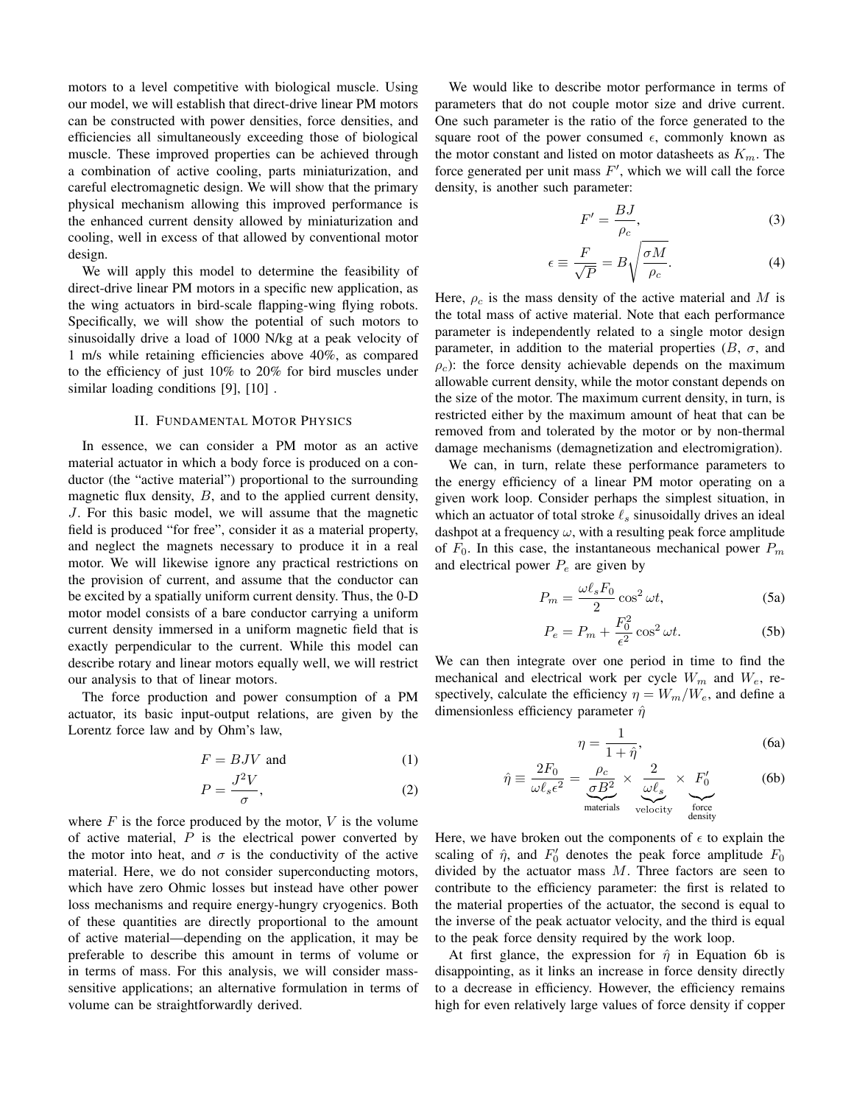motors to a level competitive with biological muscle. Using our model, we will establish that direct-drive linear PM motors can be constructed with power densities, force densities, and efficiencies all simultaneously exceeding those of biological muscle. These improved properties can be achieved through a combination of active cooling, parts miniaturization, and careful electromagnetic design. We will show that the primary physical mechanism allowing this improved performance is the enhanced current density allowed by miniaturization and cooling, well in excess of that allowed by conventional motor design.

We will apply this model to determine the feasibility of direct-drive linear PM motors in a specific new application, as the wing actuators in bird-scale flapping-wing flying robots. Specifically, we will show the potential of such motors to sinusoidally drive a load of 1000 N/kg at a peak velocity of 1 m/s while retaining efficiencies above 40%, as compared to the efficiency of just 10% to 20% for bird muscles under similar loading conditions [\[9\]](#page-7-8), [\[10\]](#page-7-9) .

### II. FUNDAMENTAL MOTOR PHYSICS

<span id="page-1-1"></span>In essence, we can consider a PM motor as an active material actuator in which a body force is produced on a conductor (the "active material") proportional to the surrounding magnetic flux density,  $B$ , and to the applied current density, J. For this basic model, we will assume that the magnetic field is produced "for free", consider it as a material property, and neglect the magnets necessary to produce it in a real motor. We will likewise ignore any practical restrictions on the provision of current, and assume that the conductor can be excited by a spatially uniform current density. Thus, the 0-D motor model consists of a bare conductor carrying a uniform current density immersed in a uniform magnetic field that is exactly perpendicular to the current. While this model can describe rotary and linear motors equally well, we will restrict our analysis to that of linear motors.

The force production and power consumption of a PM actuator, its basic input-output relations, are given by the Lorentz force law and by Ohm's law,

$$
F = BJV \text{ and } (1)
$$

$$
P = \frac{J^2 V}{\sigma},\tag{2}
$$

where  $F$  is the force produced by the motor,  $V$  is the volume of active material,  $P$  is the electrical power converted by the motor into heat, and  $\sigma$  is the conductivity of the active material. Here, we do not consider superconducting motors, which have zero Ohmic losses but instead have other power loss mechanisms and require energy-hungry cryogenics. Both of these quantities are directly proportional to the amount of active material—depending on the application, it may be preferable to describe this amount in terms of volume or in terms of mass. For this analysis, we will consider masssensitive applications; an alternative formulation in terms of volume can be straightforwardly derived.

We would like to describe motor performance in terms of parameters that do not couple motor size and drive current. One such parameter is the ratio of the force generated to the square root of the power consumed  $\epsilon$ , commonly known as the motor constant and listed on motor datasheets as  $K_m$ . The force generated per unit mass  $F'$ , which we will call the force density, is another such parameter:

<span id="page-1-2"></span>
$$
F' = \frac{BJ}{\rho_c},\tag{3}
$$

$$
\epsilon \equiv \frac{F}{\sqrt{P}} = B \sqrt{\frac{\sigma M}{\rho_c}}.\tag{4}
$$

Here,  $\rho_c$  is the mass density of the active material and M is the total mass of active material. Note that each performance parameter is independently related to a single motor design parameter, in addition to the material properties  $(B, \sigma, A)$  $\rho_c$ ): the force density achievable depends on the maximum allowable current density, while the motor constant depends on the size of the motor. The maximum current density, in turn, is restricted either by the maximum amount of heat that can be removed from and tolerated by the motor or by non-thermal damage mechanisms (demagnetization and electromigration).

We can, in turn, relate these performance parameters to the energy efficiency of a linear PM motor operating on a given work loop. Consider perhaps the simplest situation, in which an actuator of total stroke  $\ell_s$  sinusoidally drives an ideal dashpot at a frequency  $\omega$ , with a resulting peak force amplitude of  $F_0$ . In this case, the instantaneous mechanical power  $P_m$ and electrical power  $P_e$  are given by

$$
P_m = \frac{\omega \ell_s F_0}{2} \cos^2 \omega t, \tag{5a}
$$

$$
P_e = P_m + \frac{F_0^2}{\epsilon^2} \cos^2 \omega t.
$$
 (5b)

We can then integrate over one period in time to find the mechanical and electrical work per cycle  $W_m$  and  $W_e$ , respectively, calculate the efficiency  $\eta = W_m/W_e$ , and define a dimensionless efficiency parameter  $\hat{\eta}$ 

<span id="page-1-0"></span>
$$
\eta = \frac{1}{1 + \hat{\eta}},\tag{6a}
$$

$$
\hat{\eta} \equiv \frac{2F_0}{\omega \ell_s \epsilon^2} = \underbrace{\frac{\rho_c}{\sigma B^2}}_{\text{materials}} \times \underbrace{\frac{2}{\omega \ell_s}}_{\text{velocity}} \times \underbrace{F'_0}_{\text{force}} \tag{6b}
$$

Here, we have broken out the components of  $\epsilon$  to explain the scaling of  $\hat{\eta}$ , and  $F'_0$  denotes the peak force amplitude  $F_0$ divided by the actuator mass  $M$ . Three factors are seen to contribute to the efficiency parameter: the first is related to the material properties of the actuator, the second is equal to the inverse of the peak actuator velocity, and the third is equal to the peak force density required by the work loop.

At first glance, the expression for  $\hat{\eta}$  in Equation [6b](#page-1-0) is disappointing, as it links an increase in force density directly to a decrease in efficiency. However, the efficiency remains high for even relatively large values of force density if copper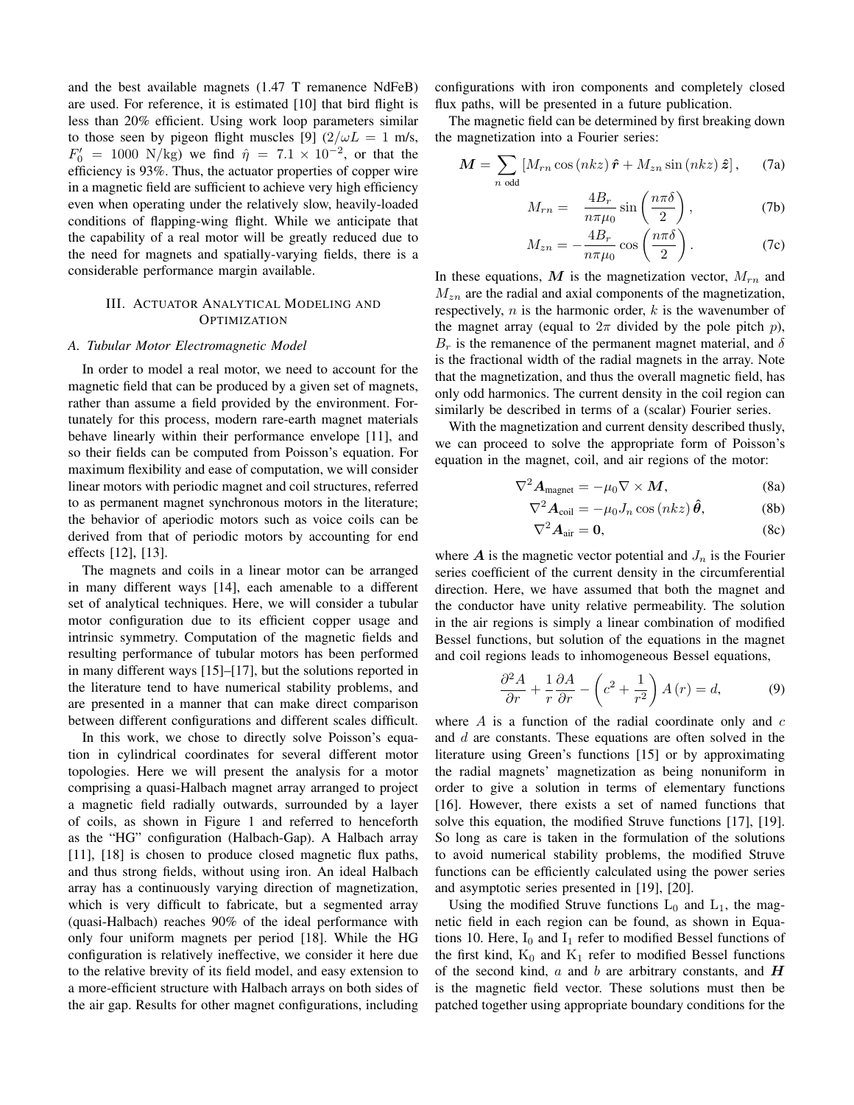and the best available magnets (1.47 T remanence NdFeB) are used. For reference, it is estimated [\[10\]](#page-7-9) that bird flight is less than 20% efficient. Using work loop parameters similar to those seen by pigeon flight muscles [\[9\]](#page-7-8)  $\left(2/\omega L = 1 \text{ m/s}\right)$ ,  $F'_0 = 1000 \text{ N/kg}$  we find  $\hat{\eta} = 7.1 \times 10^{-2}$ , or that the efficiency is 93%. Thus, the actuator properties of copper wire in a magnetic field are sufficient to achieve very high efficiency even when operating under the relatively slow, heavily-loaded conditions of flapping-wing flight. While we anticipate that the capability of a real motor will be greatly reduced due to the need for magnets and spatially-varying fields, there is a considerable performance margin available.

# III. ACTUATOR ANALYTICAL MODELING AND **OPTIMIZATION**

## *A. Tubular Motor Electromagnetic Model*

In order to model a real motor, we need to account for the magnetic field that can be produced by a given set of magnets, rather than assume a field provided by the environment. Fortunately for this process, modern rare-earth magnet materials behave linearly within their performance envelope [\[11\]](#page-7-10), and so their fields can be computed from Poisson's equation. For maximum flexibility and ease of computation, we will consider linear motors with periodic magnet and coil structures, referred to as permanent magnet synchronous motors in the literature; the behavior of aperiodic motors such as voice coils can be derived from that of periodic motors by accounting for end effects [\[12\]](#page-7-11), [\[13\]](#page-7-12).

The magnets and coils in a linear motor can be arranged in many different ways [\[14\]](#page-7-13), each amenable to a different set of analytical techniques. Here, we will consider a tubular motor configuration due to its efficient copper usage and intrinsic symmetry. Computation of the magnetic fields and resulting performance of tubular motors has been performed in many different ways [\[15\]](#page-7-14)–[\[17\]](#page-7-15), but the solutions reported in the literature tend to have numerical stability problems, and are presented in a manner that can make direct comparison between different configurations and different scales difficult.

In this work, we chose to directly solve Poisson's equation in cylindrical coordinates for several different motor topologies. Here we will present the analysis for a motor comprising a quasi-Halbach magnet array arranged to project a magnetic field radially outwards, surrounded by a layer of coils, as shown in Figure [1](#page-0-0) and referred to henceforth as the "HG" configuration (Halbach-Gap). A Halbach array [\[11\]](#page-7-10), [\[18\]](#page-7-16) is chosen to produce closed magnetic flux paths, and thus strong fields, without using iron. An ideal Halbach array has a continuously varying direction of magnetization, which is very difficult to fabricate, but a segmented array (quasi-Halbach) reaches 90% of the ideal performance with only four uniform magnets per period [\[18\]](#page-7-16). While the HG configuration is relatively ineffective, we consider it here due to the relative brevity of its field model, and easy extension to a more-efficient structure with Halbach arrays on both sides of the air gap. Results for other magnet configurations, including configurations with iron components and completely closed flux paths, will be presented in a future publication.

The magnetic field can be determined by first breaking down the magnetization into a Fourier series:

$$
M = \sum_{n \text{ odd}} \left[ M_{rn} \cos\left(nkz\right) \hat{\mathbf{r}} + M_{zn} \sin\left(nkz\right) \hat{\mathbf{z}} \right],\qquad(7a)
$$

$$
M_{rn} = \frac{4B_r}{n\pi\mu_0} \sin\left(\frac{n\pi\delta}{2}\right),\tag{7b}
$$

$$
M_{zn} = -\frac{4B_r}{n\pi\mu_0} \cos\left(\frac{n\pi\delta}{2}\right). \tag{7c}
$$

In these equations, M is the magnetization vector,  $M_{rn}$  and  $M_{zn}$  are the radial and axial components of the magnetization, respectively,  $n$  is the harmonic order,  $k$  is the wavenumber of the magnet array (equal to  $2\pi$  divided by the pole pitch p),  $B_r$  is the remanence of the permanent magnet material, and  $\delta$ is the fractional width of the radial magnets in the array. Note that the magnetization, and thus the overall magnetic field, has only odd harmonics. The current density in the coil region can similarly be described in terms of a (scalar) Fourier series.

With the magnetization and current density described thusly, we can proceed to solve the appropriate form of Poisson's equation in the magnet, coil, and air regions of the motor:

$$
\nabla^2 \mathbf{A}_{\text{magnet}} = -\mu_0 \nabla \times \mathbf{M},\tag{8a}
$$

$$
\nabla^2 \mathbf{A}_{\text{coil}} = -\mu_0 J_n \cos(n k z) \hat{\boldsymbol{\theta}}, \tag{8b}
$$

$$
\nabla^2 \mathbf{A}_{\text{air}} = \mathbf{0},\tag{8c}
$$

where  $A$  is the magnetic vector potential and  $J_n$  is the Fourier series coefficient of the current density in the circumferential direction. Here, we have assumed that both the magnet and the conductor have unity relative permeability. The solution in the air regions is simply a linear combination of modified Bessel functions, but solution of the equations in the magnet and coil regions leads to inhomogeneous Bessel equations,

$$
\frac{\partial^2 A}{\partial r} + \frac{1}{r} \frac{\partial A}{\partial r} - \left(c^2 + \frac{1}{r^2}\right) A(r) = d,\tag{9}
$$

where  $A$  is a function of the radial coordinate only and  $c$ and d are constants. These equations are often solved in the literature using Green's functions [\[15\]](#page-7-14) or by approximating the radial magnets' magnetization as being nonuniform in order to give a solution in terms of elementary functions [\[16\]](#page-7-17). However, there exists a set of named functions that solve this equation, the modified Struve functions [\[17\]](#page-7-15), [\[19\]](#page-7-18). So long as care is taken in the formulation of the solutions to avoid numerical stability problems, the modified Struve functions can be efficiently calculated using the power series and asymptotic series presented in [\[19\]](#page-7-18), [\[20\]](#page-7-19).

Using the modified Struve functions  $L_0$  and  $L_1$ , the magnetic field in each region can be found, as shown in Equa-tions [10.](#page-3-0) Here,  $I_0$  and  $I_1$  refer to modified Bessel functions of the first kind,  $K_0$  and  $K_1$  refer to modified Bessel functions of the second kind,  $a$  and  $b$  are arbitrary constants, and  $H$ is the magnetic field vector. These solutions must then be patched together using appropriate boundary conditions for the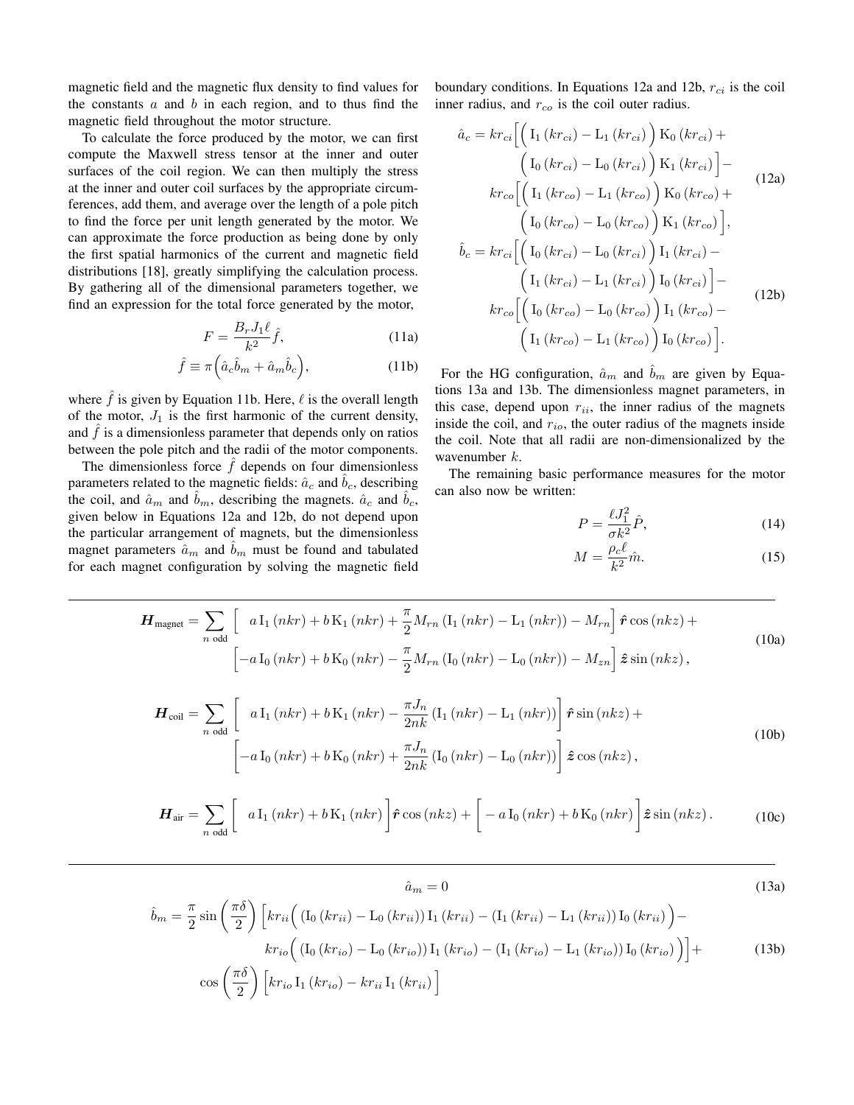magnetic field and the magnetic flux density to find values for the constants  $a$  and  $b$  in each region, and to thus find the magnetic field throughout the motor structure.

To calculate the force produced by the motor, we can first compute the Maxwell stress tensor at the inner and outer surfaces of the coil region. We can then multiply the stress at the inner and outer coil surfaces by the appropriate circumferences, add them, and average over the length of a pole pitch to find the force per unit length generated by the motor. We can approximate the force production as being done by only the first spatial harmonics of the current and magnetic field distributions [\[18\]](#page-7-16), greatly simplifying the calculation process. By gathering all of the dimensional parameters together, we find an expression for the total force generated by the motor,

$$
F = \frac{B_r J_1 \ell}{k^2} \hat{f},\tag{11a}
$$

$$
\hat{f} \equiv \pi \left( \hat{a}_c \hat{b}_m + \hat{a}_m \hat{b}_c \right),\tag{11b}
$$

where  $\hat{f}$  is given by Equation [11b.](#page-3-1) Here,  $\ell$  is the overall length of the motor,  $J_1$  is the first harmonic of the current density, and  $\hat{f}$  is a dimensionless parameter that depends only on ratios between the pole pitch and the radii of the motor components.

The dimensionless force  $\hat{f}$  depends on four dimensionless parameters related to the magnetic fields:  $\hat{a}_c$  and  $\hat{b}_c$ , describing the coil, and  $\hat{a}_m$  and  $\hat{b}_m$ , describing the magnets.  $\hat{a}_c$  and  $\hat{b}_c$ , given below in Equations [12a](#page-3-2) and [12b,](#page-3-3) do not depend upon the particular arrangement of magnets, but the dimensionless magnet parameters  $\hat{a}_m$  and  $b_m$  must be found and tabulated for each magnet configuration by solving the magnetic field boundary conditions. In Equations [12a](#page-3-2) and [12b,](#page-3-3)  $r_{ci}$  is the coil inner radius, and  $r_{co}$  is the coil outer radius.

<span id="page-3-2"></span>
$$
\hat{a}_{c} = kr_{ci} \Big[ \Big( I_{1} (kr_{ci}) - L_{1} (kr_{ci}) \Big) K_{0} (kr_{ci}) +
$$
\n
$$
\Big( I_{0} (kr_{ci}) - L_{0} (kr_{ci}) \Big) K_{1} (kr_{ci}) \Big] -
$$
\n
$$
kr_{co} \Big[ \Big( I_{1} (kr_{co}) - L_{1} (kr_{co}) \Big) K_{0} (kr_{co}) +
$$
\n
$$
\Big( I_{0} (kr_{co}) - L_{0} (kr_{co}) \Big) K_{1} (kr_{co}) \Big],
$$
\n
$$
\hat{b}_{c} = kr_{ci} \Big[ \Big( I_{0} (kr_{ci}) - L_{0} (kr_{ci}) \Big) I_{1} (kr_{ci}) -
$$
\n
$$
\Big( I_{1} (kr_{ci}) - L_{1} (kr_{ci}) \Big) I_{0} (kr_{ci}) \Big] -
$$
\n
$$
kr_{co} \Big[ \Big( I_{0} (kr_{co}) - L_{0} (kr_{co}) \Big) I_{1} (kr_{co}) -
$$
\n
$$
\Big( I_{1} (kr_{co}) - L_{1} (kr_{co}) \Big) I_{0} (kr_{co}) \Big].
$$
\n(12b)

<span id="page-3-1"></span>For the HG configuration,  $\hat{a}_m$  and  $\hat{b}_m$  are given by Equations [13a](#page-3-4) and [13b.](#page-3-5) The dimensionless magnet parameters, in this case, depend upon  $r_{ii}$ , the inner radius of the magnets inside the coil, and  $r_{io}$ , the outer radius of the magnets inside the coil. Note that all radii are non-dimensionalized by the wavenumber k.

The remaining basic performance measures for the motor can also now be written:

<span id="page-3-3"></span>
$$
P = \frac{\ell J_1^2}{\sigma k^2} \hat{P},\tag{14}
$$

<span id="page-3-5"></span><span id="page-3-4"></span><span id="page-3-0"></span>
$$
M = \frac{\rho_c \ell}{k^2} \hat{m}.\tag{15}
$$

$$
\boldsymbol{H}_{\text{magnet}} = \sum_{n \text{ odd}} \left[ a I_1 \left( nkr \right) + b K_1 \left( nkr \right) + \frac{\pi}{2} M_{rn} \left( I_1 \left( nkr \right) - L_1 \left( nkr \right) \right) - M_{rn} \right] \hat{\boldsymbol{r}} \cos \left( nkr \right) + \\ \left[ -a I_0 \left( nkr \right) + b K_0 \left( nkr \right) - \frac{\pi}{2} M_{rn} \left( I_0 \left( nkr \right) - L_0 \left( nkr \right) \right) - M_{zn} \right] \hat{\boldsymbol{z}} \sin \left( nkr \right), \tag{10a}
$$

$$
\boldsymbol{H}_{\text{coil}} = \sum_{n \text{ odd}} \begin{bmatrix} a I_1(nkr) + b K_1(nkr) - \frac{\pi J_n}{2nk} (I_1(nkr) - L_1(nkr)) \end{bmatrix} \hat{\boldsymbol{r}} \sin(nkz) +
$$
  

$$
\begin{bmatrix} -a I_0(nkr) + b K_0(nkr) + \frac{\pi J_n}{2nk} (I_0(nkr) - L_0(nkr)) \end{bmatrix} \hat{\boldsymbol{z}} \cos(nkz),
$$
 (10b)

$$
\boldsymbol{H}_{\text{air}} = \sum_{n \text{ odd}} \left[ a \mathbf{I}_{1} \left( nkr \right) + b \mathbf{K}_{1} \left( nkr \right) \right] \hat{\boldsymbol{r}} \cos(nkz) + \left[ -a \mathbf{I}_{0} \left( nkr \right) + b \mathbf{K}_{0} \left( nkr \right) \right] \hat{\boldsymbol{z}} \sin(nkz). \tag{10c}
$$

$$
\hat{b}_{m} = \frac{\pi}{2} \sin\left(\frac{\pi \delta}{2}\right) \left[ k r_{ii} \left( \left( \text{I}_{0} \left( k r_{ii} \right) - \text{L}_{0} \left( k r_{ii} \right) \right) \text{I}_{1} \left( k r_{ii} \right) - \left( \text{I}_{1} \left( k r_{ii} \right) - \text{L}_{1} \left( k r_{ii} \right) \right) \text{I}_{0} \left( k r_{ii} \right) \right) - k r_{io} \left( \left( \text{I}_{0} \left( k r_{io} \right) - \text{L}_{0} \left( k r_{io} \right) \right) \text{I}_{1} \left( k r_{io} \right) - \left( \text{I}_{1} \left( k r_{io} \right) - \text{L}_{1} \left( k r_{io} \right) \right) \text{I}_{0} \left( k r_{io} \right) \right) \right] + \cos\left(\frac{\pi \delta}{2}\right) \left[ k r_{io} \text{I}_{1} \left( k r_{io} \right) - k r_{ii} \text{I}_{1} \left( k r_{ii} \right) \right] \tag{13b}
$$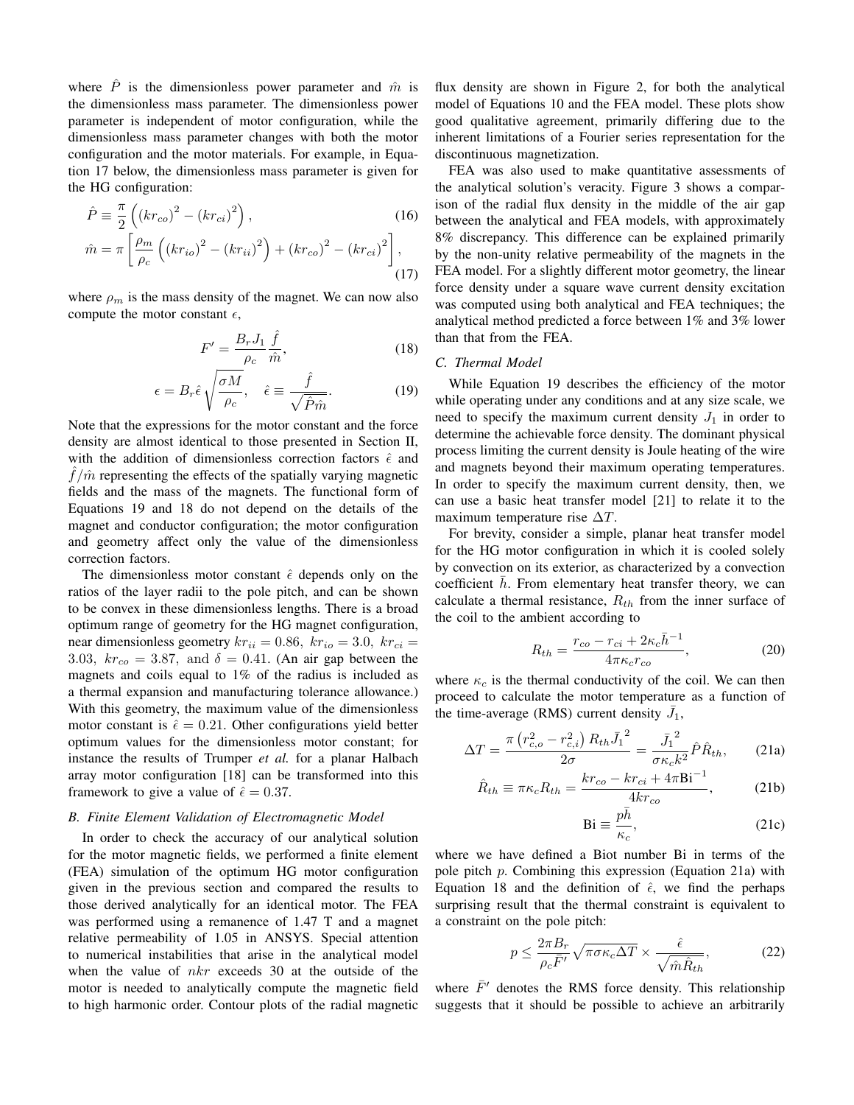where  $\hat{P}$  is the dimensionless power parameter and  $\hat{m}$  is the dimensionless mass parameter. The dimensionless power parameter is independent of motor configuration, while the dimensionless mass parameter changes with both the motor configuration and the motor materials. For example, in Equation [17](#page-4-0) below, the dimensionless mass parameter is given for the HG configuration:

$$
\hat{P} = \frac{\pi}{2} \left( (kr_{co})^2 - (kr_{ci})^2 \right),
$$
\n
$$
\hat{m} = \pi \left[ \frac{\rho_m}{\rho_c} \left( (kr_{io})^2 - (kr_{ii})^2 \right) + (kr_{co})^2 - (kr_{ci})^2 \right],
$$
\n(17)

where  $\rho_m$  is the mass density of the magnet. We can now also compute the motor constant  $\epsilon$ ,

$$
F' = \frac{B_r J_1}{\rho_c} \frac{\hat{f}}{\hat{m}},\tag{18}
$$

$$
\epsilon = B_r \hat{\epsilon} \sqrt{\frac{\sigma M}{\rho_c}}, \quad \hat{\epsilon} \equiv \frac{\hat{f}}{\sqrt{\hat{P}\hat{m}}}.
$$
 (19)

Note that the expressions for the motor constant and the force density are almost identical to those presented in Section [II,](#page-1-1) with the addition of dimensionless correction factors  $\hat{\epsilon}$  and  $\hat{f}/\hat{m}$  representing the effects of the spatially varying magnetic fields and the mass of the magnets. The functional form of Equations [19](#page-4-1) and [18](#page-4-2) do not depend on the details of the magnet and conductor configuration; the motor configuration and geometry affect only the value of the dimensionless correction factors.

The dimensionless motor constant  $\hat{\epsilon}$  depends only on the ratios of the layer radii to the pole pitch, and can be shown to be convex in these dimensionless lengths. There is a broad optimum range of geometry for the HG magnet configuration, near dimensionless geometry  $kr_{ii} = 0.86$ ,  $kr_{io} = 3.0$ ,  $kr_{ci} =$ 3.03,  $kr_{co} = 3.87$ , and  $\delta = 0.41$ . (An air gap between the magnets and coils equal to 1% of the radius is included as a thermal expansion and manufacturing tolerance allowance.) With this geometry, the maximum value of the dimensionless motor constant is  $\hat{\epsilon} = 0.21$ . Other configurations yield better optimum values for the dimensionless motor constant; for instance the results of Trumper *et al.* for a planar Halbach array motor configuration [\[18\]](#page-7-16) can be transformed into this framework to give a value of  $\hat{\epsilon} = 0.37$ .

## *B. Finite Element Validation of Electromagnetic Model*

In order to check the accuracy of our analytical solution for the motor magnetic fields, we performed a finite element (FEA) simulation of the optimum HG motor configuration given in the previous section and compared the results to those derived analytically for an identical motor. The FEA was performed using a remanence of 1.47 T and a magnet relative permeability of 1.05 in ANSYS. Special attention to numerical instabilities that arise in the analytical model when the value of  $nkr$  exceeds 30 at the outside of the motor is needed to analytically compute the magnetic field to high harmonic order. Contour plots of the radial magnetic flux density are shown in Figure [2,](#page-5-0) for both the analytical model of Equations [10](#page-3-0) and the FEA model. These plots show good qualitative agreement, primarily differing due to the inherent limitations of a Fourier series representation for the discontinuous magnetization.

<span id="page-4-0"></span>FEA was also used to make quantitative assessments of the analytical solution's veracity. Figure [3](#page-5-1) shows a comparison of the radial flux density in the middle of the air gap between the analytical and FEA models, with approximately 8% discrepancy. This difference can be explained primarily by the non-unity relative permeability of the magnets in the FEA model. For a slightly different motor geometry, the linear force density under a square wave current density excitation was computed using both analytical and FEA techniques; the analytical method predicted a force between 1% and 3% lower than that from the FEA.

## <span id="page-4-2"></span>*C. Thermal Model*

<span id="page-4-1"></span>While Equation [19](#page-4-1) describes the efficiency of the motor while operating under any conditions and at any size scale, we need to specify the maximum current density  $J_1$  in order to determine the achievable force density. The dominant physical process limiting the current density is Joule heating of the wire and magnets beyond their maximum operating temperatures. In order to specify the maximum current density, then, we can use a basic heat transfer model [\[21\]](#page-7-20) to relate it to the maximum temperature rise  $\Delta T$ .

For brevity, consider a simple, planar heat transfer model for the HG motor configuration in which it is cooled solely by convection on its exterior, as characterized by a convection coefficient  $h$ . From elementary heat transfer theory, we can calculate a thermal resistance,  $R_{th}$  from the inner surface of the coil to the ambient according to

$$
R_{th} = \frac{r_{co} - r_{ci} + 2\kappa_c \bar{h}^{-1}}{4\pi\kappa_c r_{co}},
$$
 (20)

where  $\kappa_c$  is the thermal conductivity of the coil. We can then proceed to calculate the motor temperature as a function of the time-average (RMS) current density  $\bar{J}_1$ ,

$$
\Delta T = \frac{\pi \left( r_{c,o}^2 - r_{c,i}^2 \right) R_{th} \bar{J}_1^2}{2\sigma} = \frac{\bar{J}_1^2}{\sigma \kappa_c k^2} \hat{P} \hat{R}_{th},\qquad(21a)
$$

$$
\hat{R}_{th} \equiv \pi \kappa_c R_{th} = \frac{kr_{co} - kr_{ci} + 4\pi \text{Bi}^{-1}}{4kr_{co}},\tag{21b}
$$

<span id="page-4-3"></span>
$$
\text{Bi} \equiv \frac{p\bar{h}}{\kappa_c},\tag{21c}
$$

where we have defined a Biot number Bi in terms of the pole pitch  $p$ . Combining this expression (Equation [21a\)](#page-4-3) with Equation [18](#page-4-2) and the definition of  $\hat{\epsilon}$ , we find the perhaps surprising result that the thermal constraint is equivalent to a constraint on the pole pitch:

$$
p \le \frac{2\pi B_r}{\rho_c \bar{F}'} \sqrt{\pi \sigma \kappa_c \Delta T} \times \frac{\hat{\epsilon}}{\sqrt{\hat{m}\hat{R}_{th}}},\tag{22}
$$

where  $\bar{F}'$  denotes the RMS force density. This relationship suggests that it should be possible to achieve an arbitrarily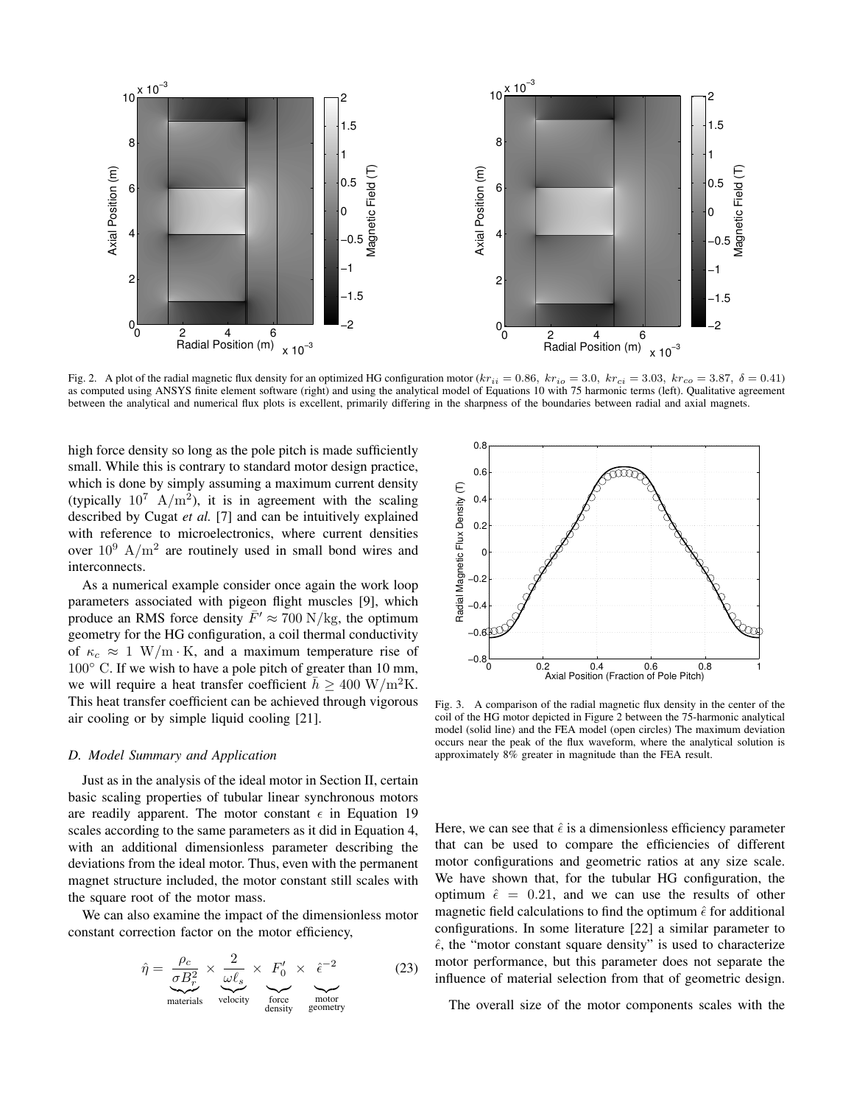

<span id="page-5-0"></span>Fig. 2. A plot of the radial magnetic flux density for an optimized HG configuration motor  $(kr_{ii} = 0.86, kr_{io} = 3.0, kr_{ci} = 3.03, kr_{co} = 3.87, \delta = 0.41)$ as computed using ANSYS finite element software (right) and using the analytical model of Equations [10](#page-3-0) with 75 harmonic terms (left). Qualitative agreement between the analytical and numerical flux plots is excellent, primarily differing in the sharpness of the boundaries between radial and axial magnets.

high force density so long as the pole pitch is made sufficiently small. While this is contrary to standard motor design practice, which is done by simply assuming a maximum current density (typically  $10^7$  A/m<sup>2</sup>), it is in agreement with the scaling described by Cugat *et al.* [\[7\]](#page-7-6) and can be intuitively explained with reference to microelectronics, where current densities over  $10^9$  A/m<sup>2</sup> are routinely used in small bond wires and interconnects.

As a numerical example consider once again the work loop parameters associated with pigeon flight muscles [\[9\]](#page-7-8), which produce an RMS force density  $\bar{F}' \approx 700$  N/kg, the optimum geometry for the HG configuration, a coil thermal conductivity of  $\kappa_c \approx 1$  W/m · K, and a maximum temperature rise of 100◦ C. If we wish to have a pole pitch of greater than 10 mm, we will require a heat transfer coefficient  $\bar{h} > 400 \text{ W/m}^2\text{K}$ . This heat transfer coefficient can be achieved through vigorous air cooling or by simple liquid cooling [\[21\]](#page-7-20).

# *D. Model Summary and Application*

Just as in the analysis of the ideal motor in Section [II,](#page-1-1) certain basic scaling properties of tubular linear synchronous motors are readily apparent. The motor constant  $\epsilon$  in Equation [19](#page-4-1) scales according to the same parameters as it did in Equation [4,](#page-1-2) with an additional dimensionless parameter describing the deviations from the ideal motor. Thus, even with the permanent magnet structure included, the motor constant still scales with the square root of the motor mass.

We can also examine the impact of the dimensionless motor constant correction factor on the motor efficiency,

<span id="page-5-2"></span>
$$
\hat{\eta} = \underbrace{\frac{\rho_c}{\sigma B_r^2}}_{\text{materials}} \times \underbrace{\frac{2}{\omega \ell_s}}_{\text{velocity}} \times \underbrace{F_0'}_{\text{force}} \times \underbrace{\hat{\epsilon}^{-2}}_{\text{motor}} \tag{23}
$$



<span id="page-5-1"></span>Fig. 3. A comparison of the radial magnetic flux density in the center of the coil of the HG motor depicted in Figure [2](#page-5-0) between the 75-harmonic analytical model (solid line) and the FEA model (open circles) The maximum deviation occurs near the peak of the flux waveform, where the analytical solution is approximately 8% greater in magnitude than the FEA result.

Here, we can see that  $\hat{\epsilon}$  is a dimensionless efficiency parameter that can be used to compare the efficiencies of different motor configurations and geometric ratios at any size scale. We have shown that, for the tubular HG configuration, the optimum  $\hat{\epsilon} = 0.21$ , and we can use the results of other magnetic field calculations to find the optimum  $\hat{\epsilon}$  for additional configurations. In some literature [\[22\]](#page-7-21) a similar parameter to  $\hat{\epsilon}$ , the "motor constant square density" is used to characterize motor performance, but this parameter does not separate the influence of material selection from that of geometric design.

The overall size of the motor components scales with the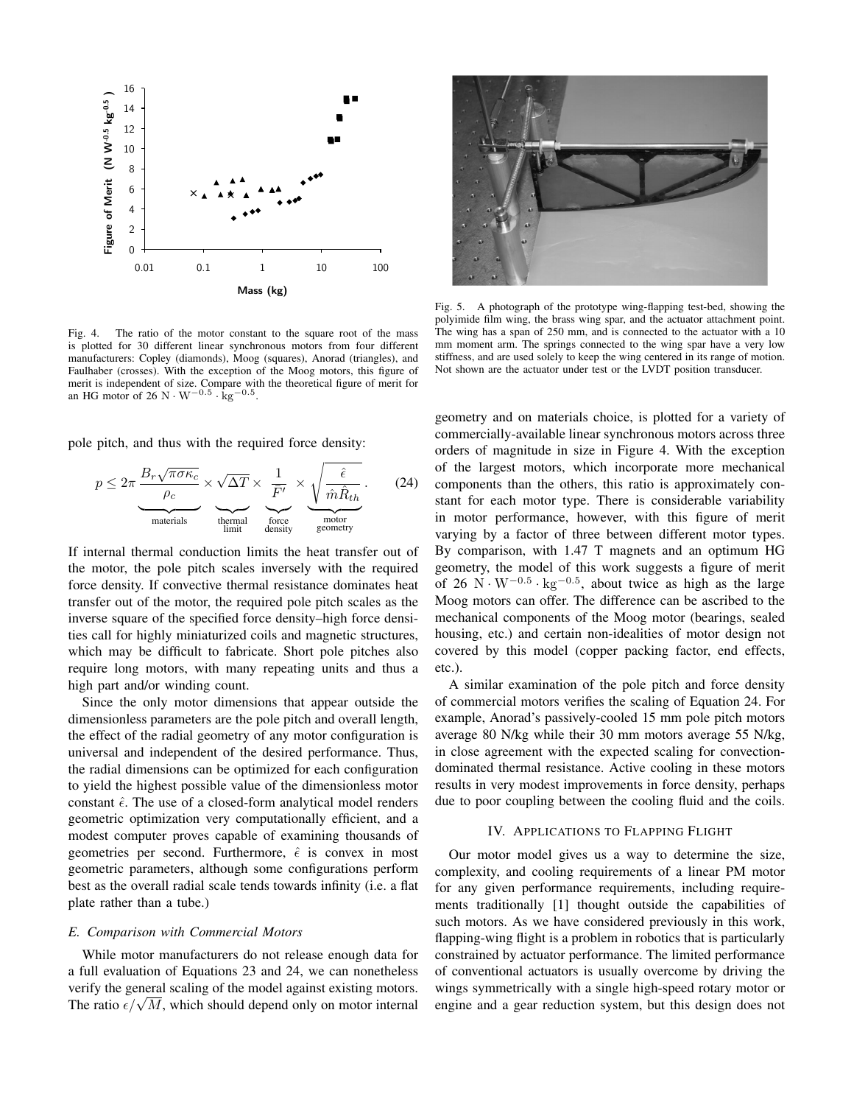

<span id="page-6-1"></span>Fig. 4. The ratio of the motor constant to the square root of the mass is plotted for 30 different linear synchronous motors from four different manufacturers: Copley (diamonds), Moog (squares), Anorad (triangles), and Faulhaber (crosses). With the exception of the Moog motors, this figure of merit is independent of size. Compare with the theoretical figure of merit for an HG motor of 26 N  $\cdot$  W<sup>-0.5</sup>  $\cdot$  kg<sup>-0.5</sup>.

pole pitch, and thus with the required force density:

<span id="page-6-0"></span>
$$
p \leq 2\pi \frac{B_r \sqrt{\pi \sigma \kappa_c}}{\rho_c} \times \sqrt{\Delta T} \times \underbrace{\frac{1}{\bar{F'}}}_{\text{thermal}} \times \underbrace{\sqrt{\frac{\hat{\epsilon}}{\hat{m}\hat{R}_{th}}}}_{\text{genity}}.
$$
 (24)

If internal thermal conduction limits the heat transfer out of the motor, the pole pitch scales inversely with the required force density. If convective thermal resistance dominates heat transfer out of the motor, the required pole pitch scales as the inverse square of the specified force density–high force densities call for highly miniaturized coils and magnetic structures, which may be difficult to fabricate. Short pole pitches also require long motors, with many repeating units and thus a high part and/or winding count.

Since the only motor dimensions that appear outside the dimensionless parameters are the pole pitch and overall length, the effect of the radial geometry of any motor configuration is universal and independent of the desired performance. Thus, the radial dimensions can be optimized for each configuration to yield the highest possible value of the dimensionless motor constant  $\hat{\epsilon}$ . The use of a closed-form analytical model renders geometric optimization very computationally efficient, and a modest computer proves capable of examining thousands of geometries per second. Furthermore,  $\hat{\epsilon}$  is convex in most geometric parameters, although some configurations perform best as the overall radial scale tends towards infinity (i.e. a flat plate rather than a tube.)

# *E. Comparison with Commercial Motors*

While motor manufacturers do not release enough data for a full evaluation of Equations [23](#page-5-2) and [24,](#page-6-0) we can nonetheless verify the general scaling of the model against existing motors. veriry the general scaling of the model against existing motors.<br>The ratio  $\epsilon/\sqrt{M}$ , which should depend only on motor internal



Fig. 5. A photograph of the prototype wing-flapping test-bed, showing the polyimide film wing, the brass wing spar, and the actuator attachment point. The wing has a span of 250 mm, and is connected to the actuator with a 10 mm moment arm. The springs connected to the wing spar have a very low stiffness, and are used solely to keep the wing centered in its range of motion. Not shown are the actuator under test or the LVDT position transducer.

<span id="page-6-2"></span>geometry and on materials choice, is plotted for a variety of commercially-available linear synchronous motors across three orders of magnitude in size in Figure [4.](#page-6-1) With the exception of the largest motors, which incorporate more mechanical components than the others, this ratio is approximately constant for each motor type. There is considerable variability in motor performance, however, with this figure of merit varying by a factor of three between different motor types. By comparison, with 1.47 T magnets and an optimum HG geometry, the model of this work suggests a figure of merit of 26 N  $\cdot$  W<sup>-0.5</sup>  $\cdot$  kg<sup>-0.5</sup>, about twice as high as the large Moog motors can offer. The difference can be ascribed to the mechanical components of the Moog motor (bearings, sealed housing, etc.) and certain non-idealities of motor design not covered by this model (copper packing factor, end effects, etc.).

A similar examination of the pole pitch and force density of commercial motors verifies the scaling of Equation [24.](#page-6-0) For example, Anorad's passively-cooled 15 mm pole pitch motors average 80 N/kg while their 30 mm motors average 55 N/kg, in close agreement with the expected scaling for convectiondominated thermal resistance. Active cooling in these motors results in very modest improvements in force density, perhaps due to poor coupling between the cooling fluid and the coils.

#### IV. APPLICATIONS TO FLAPPING FLIGHT

Our motor model gives us a way to determine the size, complexity, and cooling requirements of a linear PM motor for any given performance requirements, including requirements traditionally [\[1\]](#page-7-0) thought outside the capabilities of such motors. As we have considered previously in this work, flapping-wing flight is a problem in robotics that is particularly constrained by actuator performance. The limited performance of conventional actuators is usually overcome by driving the wings symmetrically with a single high-speed rotary motor or engine and a gear reduction system, but this design does not